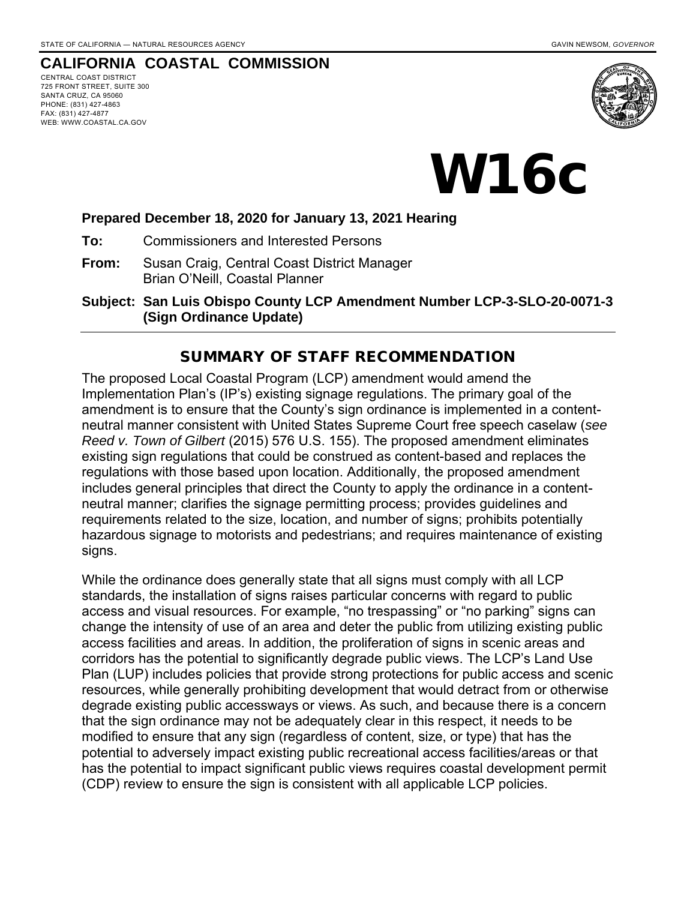### **CALIFORNIA COASTAL COMMISSION**

CENTRAL COAST DISTRICT 725 FRONT STREET, SUITE 300 SANTA CRUZ, CA 95060 PHONE: (831) 427-4863 FAX: (831) 427-4877 WEB: WWW.COASTAL.CA.GOV



W16c

#### **Prepared December 18, 2020 for January 13, 2021 Hearing**

**To:** Commissioners and Interested Persons

**From:** Susan Craig, Central Coast District Manager Brian O'Neill, Coastal Planner

**Subject: San Luis Obispo County LCP Amendment Number LCP-3-SLO-20-0071-3 (Sign Ordinance Update)**

#### SUMMARY OF STAFF RECOMMENDATION

The proposed Local Coastal Program (LCP) amendment would amend the Implementation Plan's (IP's) existing signage regulations. The primary goal of the amendment is to ensure that the County's sign ordinance is implemented in a contentneutral manner consistent with United States Supreme Court free speech caselaw (*see Reed v. Town of Gilbert* (2015) 576 U.S. 155). The proposed amendment eliminates existing sign regulations that could be construed as content-based and replaces the regulations with those based upon location. Additionally, the proposed amendment includes general principles that direct the County to apply the ordinance in a contentneutral manner; clarifies the signage permitting process; provides guidelines and requirements related to the size, location, and number of signs; prohibits potentially hazardous signage to motorists and pedestrians; and requires maintenance of existing signs.

While the ordinance does generally state that all signs must comply with all LCP standards, the installation of signs raises particular concerns with regard to public access and visual resources. For example, "no trespassing" or "no parking" signs can change the intensity of use of an area and deter the public from utilizing existing public access facilities and areas. In addition, the proliferation of signs in scenic areas and corridors has the potential to significantly degrade public views. The LCP's Land Use Plan (LUP) includes policies that provide strong protections for public access and scenic resources, while generally prohibiting development that would detract from or otherwise degrade existing public accessways or views. As such, and because there is a concern that the sign ordinance may not be adequately clear in this respect, it needs to be modified to ensure that any sign (regardless of content, size, or type) that has the potential to adversely impact existing public recreational access facilities/areas or that has the potential to impact significant public views requires coastal development permit (CDP) review to ensure the sign is consistent with all applicable LCP policies.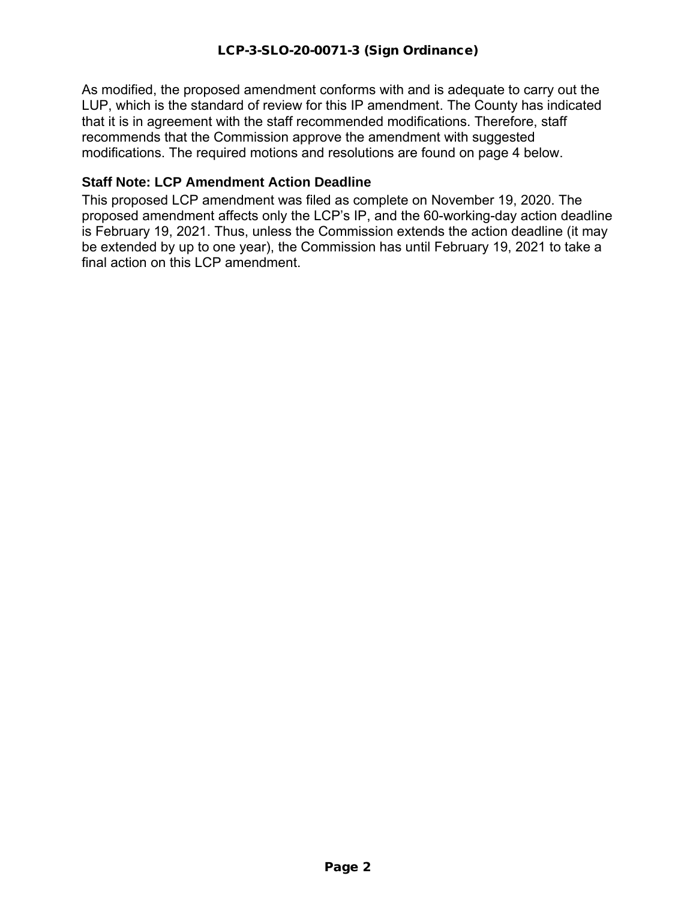As modified, the proposed amendment conforms with and is adequate to carry out the LUP, which is the standard of review for this IP amendment. The County has indicated that it is in agreement with the staff recommended modifications. Therefore, staff recommends that the Commission approve the amendment with suggested modifications. The required motions and resolutions are found on page 4 below.

### **Staff Note: LCP Amendment Action Deadline**

This proposed LCP amendment was filed as complete on November 19, 2020. The proposed amendment affects only the LCP's IP, and the 60-working-day action deadline is February 19, 2021. Thus, unless the Commission extends the action deadline (it may be extended by up to one year), the Commission has until February 19, 2021 to take a final action on this LCP amendment.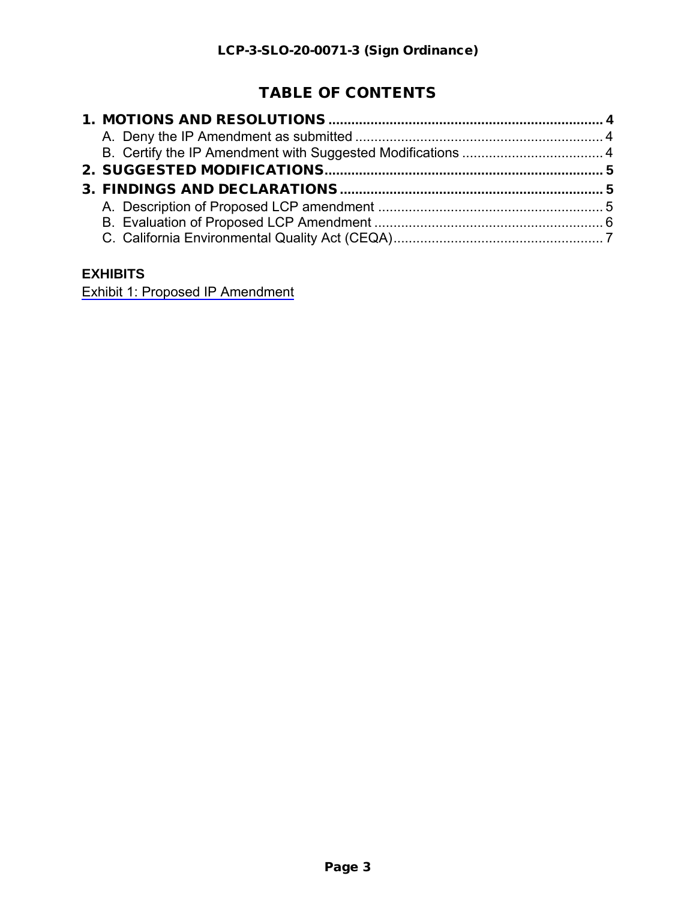# TABLE OF CONTENTS

# **EXHIBITS**

[Exhibit 1: Proposed IP Amendment](https://documents.coastal.ca.gov/reports/2021/1/w16c/w16c-1-2021-exhibits.pdf)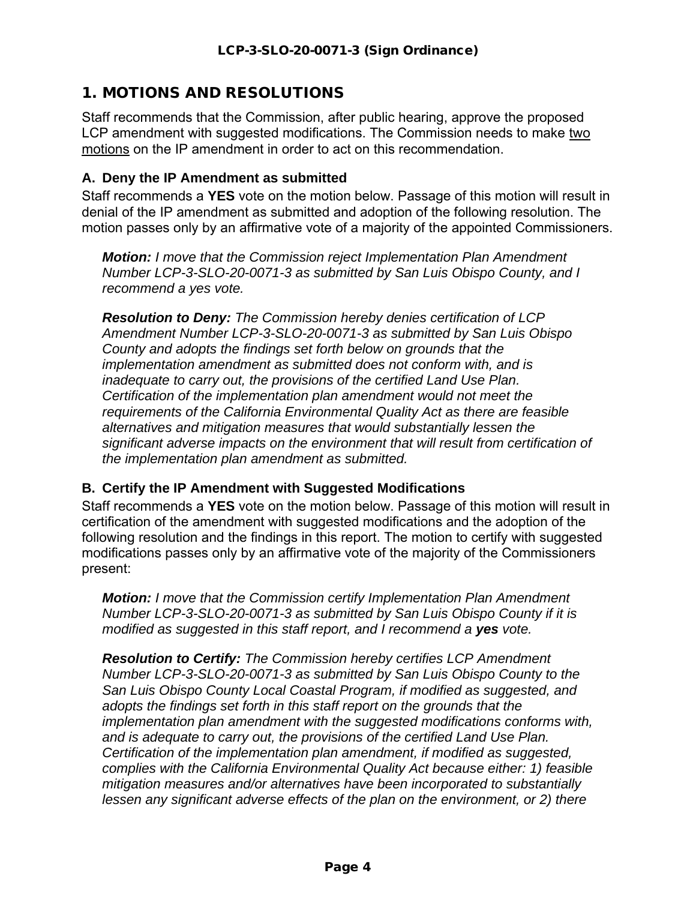# <span id="page-3-0"></span>1. MOTIONS AND RESOLUTIONS

Staff recommends that the Commission, after public hearing, approve the proposed LCP amendment with suggested modifications. The Commission needs to make two motions on the IP amendment in order to act on this recommendation.

#### <span id="page-3-1"></span>**A. Deny the IP Amendment as submitted**

Staff recommends a **YES** vote on the motion below. Passage of this motion will result in denial of the IP amendment as submitted and adoption of the following resolution. The motion passes only by an affirmative vote of a majority of the appointed Commissioners.

*Motion: I move that the Commission reject Implementation Plan Amendment Number LCP-3-SLO-20-0071-3 as submitted by San Luis Obispo County, and I recommend a yes vote.*

*Resolution to Deny: The Commission hereby denies certification of LCP Amendment Number LCP-3-SLO-20-0071-3 as submitted by San Luis Obispo County and adopts the findings set forth below on grounds that the implementation amendment as submitted does not conform with, and is inadequate to carry out, the provisions of the certified Land Use Plan. Certification of the implementation plan amendment would not meet the requirements of the California Environmental Quality Act as there are feasible alternatives and mitigation measures that would substantially lessen the significant adverse impacts on the environment that will result from certification of the implementation plan amendment as submitted.*

### <span id="page-3-2"></span>**B. Certify the IP Amendment with Suggested Modifications**

Staff recommends a **YES** vote on the motion below. Passage of this motion will result in certification of the amendment with suggested modifications and the adoption of the following resolution and the findings in this report. The motion to certify with suggested modifications passes only by an affirmative vote of the majority of the Commissioners present:

*Motion: I move that the Commission certify Implementation Plan Amendment Number LCP-3-SLO-20-0071-3 as submitted by San Luis Obispo County if it is modified as suggested in this staff report, and I recommend a yes vote.* 

*Resolution to Certify: The Commission hereby certifies LCP Amendment Number LCP-3-SLO-20-0071-3 as submitted by San Luis Obispo County to the San Luis Obispo County Local Coastal Program, if modified as suggested, and adopts the findings set forth in this staff report on the grounds that the implementation plan amendment with the suggested modifications conforms with, and is adequate to carry out, the provisions of the certified Land Use Plan. Certification of the implementation plan amendment, if modified as suggested, complies with the California Environmental Quality Act because either: 1) feasible mitigation measures and/or alternatives have been incorporated to substantially lessen any significant adverse effects of the plan on the environment, or 2) there*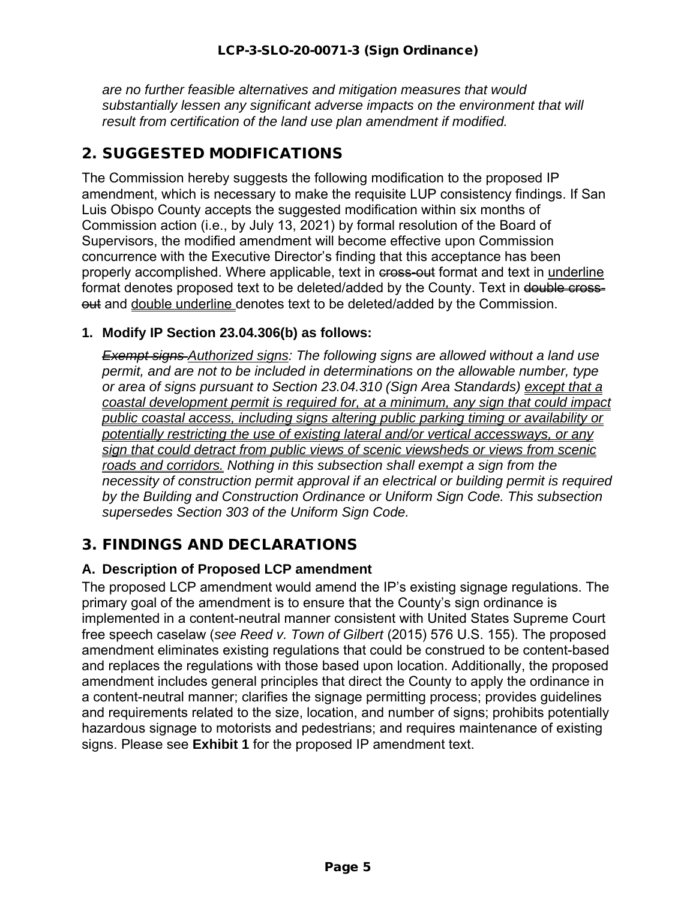*are no further feasible alternatives and mitigation measures that would substantially lessen any significant adverse impacts on the environment that will result from certification of the land use plan amendment if modified.*

# <span id="page-4-0"></span>2. SUGGESTED MODIFICATIONS

The Commission hereby suggests the following modification to the proposed IP amendment, which is necessary to make the requisite LUP consistency findings. If San Luis Obispo County accepts the suggested modification within six months of Commission action (i.e., by July 13, 2021) by formal resolution of the Board of Supervisors, the modified amendment will become effective upon Commission concurrence with the Executive Director's finding that this acceptance has been properly accomplished. Where applicable, text in cross-out format and text in underline format denotes proposed text to be deleted/added by the County. Text in double crossout and double underline denotes text to be deleted/added by the Commission.

### **1. Modify IP Section 23.04.306(b) as follows:**

*Exempt signs Authorized signs: The following signs are allowed without a land use permit, and are not to be included in determinations on the allowable number, type or area of signs pursuant to Section 23.04.310 (Sign Area Standards) except that a coastal development permit is required for, at a minimum, any sign that could impact public coastal access, including signs altering public parking timing or availability or potentially restricting the use of existing lateral and/or vertical accessways, or any sign that could detract from public views of scenic viewsheds or views from scenic roads and corridors. Nothing in this subsection shall exempt a sign from the necessity of construction permit approval if an electrical or building permit is required by the Building and Construction Ordinance or Uniform Sign Code. This subsection supersedes Section 303 of the Uniform Sign Code.*

# <span id="page-4-1"></span>3. FINDINGS AND DECLARATIONS

# <span id="page-4-2"></span>**A. Description of Proposed LCP amendment**

The proposed LCP amendment would amend the IP's existing signage regulations. The primary goal of the amendment is to ensure that the County's sign ordinance is implemented in a content-neutral manner consistent with United States Supreme Court free speech caselaw (*see Reed v. Town of Gilbert* (2015) 576 U.S. 155). The proposed amendment eliminates existing regulations that could be construed to be content-based and replaces the regulations with those based upon location. Additionally, the proposed amendment includes general principles that direct the County to apply the ordinance in a content-neutral manner; clarifies the signage permitting process; provides guidelines and requirements related to the size, location, and number of signs; prohibits potentially hazardous signage to motorists and pedestrians; and requires maintenance of existing signs. Please see **Exhibit 1** for the proposed IP amendment text.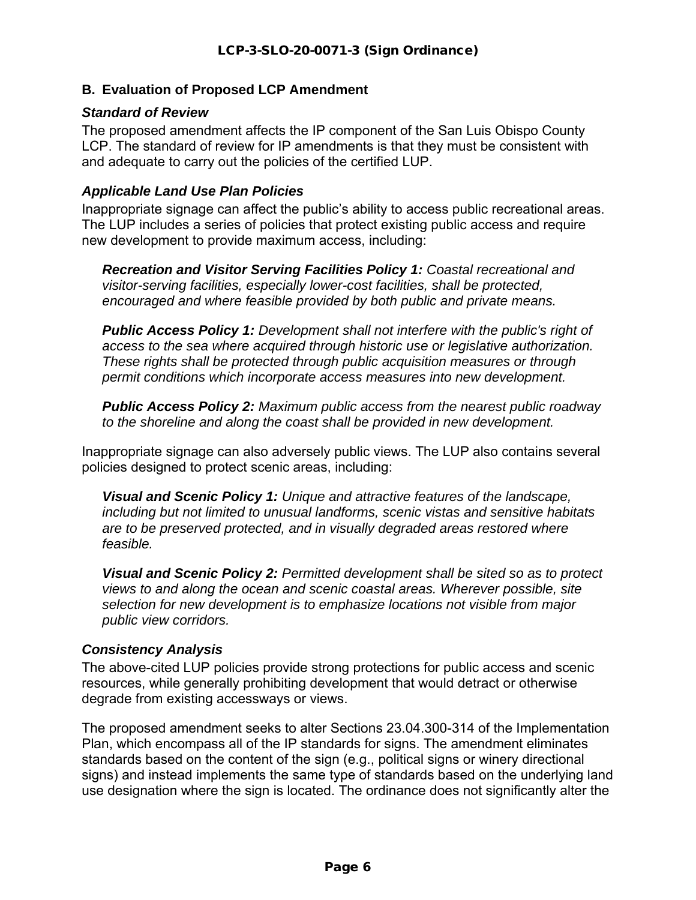### <span id="page-5-0"></span>**B. Evaluation of Proposed LCP Amendment**

#### *Standard of Review*

The proposed amendment affects the IP component of the San Luis Obispo County LCP. The standard of review for IP amendments is that they must be consistent with and adequate to carry out the policies of the certified LUP.

#### *Applicable Land Use Plan Policies*

Inappropriate signage can affect the public's ability to access public recreational areas. The LUP includes a series of policies that protect existing public access and require new development to provide maximum access, including:

*Recreation and Visitor Serving Facilities Policy 1: Coastal recreational and visitor-serving facilities, especially lower-cost facilities, shall be protected, encouraged and where feasible provided by both public and private means.*

*Public Access Policy 1: Development shall not interfere with the public's right of access to the sea where acquired through historic use or legislative authorization. These rights shall be protected through public acquisition measures or through permit conditions which incorporate access measures into new development.*

*Public Access Policy 2: Maximum public access from the nearest public roadway to the shoreline and along the coast shall be provided in new development.*

Inappropriate signage can also adversely public views. The LUP also contains several policies designed to protect scenic areas, including:

*Visual and Scenic Policy 1: Unique and attractive features of the landscape, including but not limited to unusual landforms, scenic vistas and sensitive habitats are to be preserved protected, and in visually degraded areas restored where feasible.*

*Visual and Scenic Policy 2: Permitted development shall be sited so as to protect views to and along the ocean and scenic coastal areas. Wherever possible, site selection for new development is to emphasize locations not visible from major public view corridors.* 

### *Consistency Analysis*

The above-cited LUP policies provide strong protections for public access and scenic resources, while generally prohibiting development that would detract or otherwise degrade from existing accessways or views.

The proposed amendment seeks to alter Sections 23.04.300-314 of the Implementation Plan, which encompass all of the IP standards for signs. The amendment eliminates standards based on the content of the sign (e.g., political signs or winery directional signs) and instead implements the same type of standards based on the underlying land use designation where the sign is located. The ordinance does not significantly alter the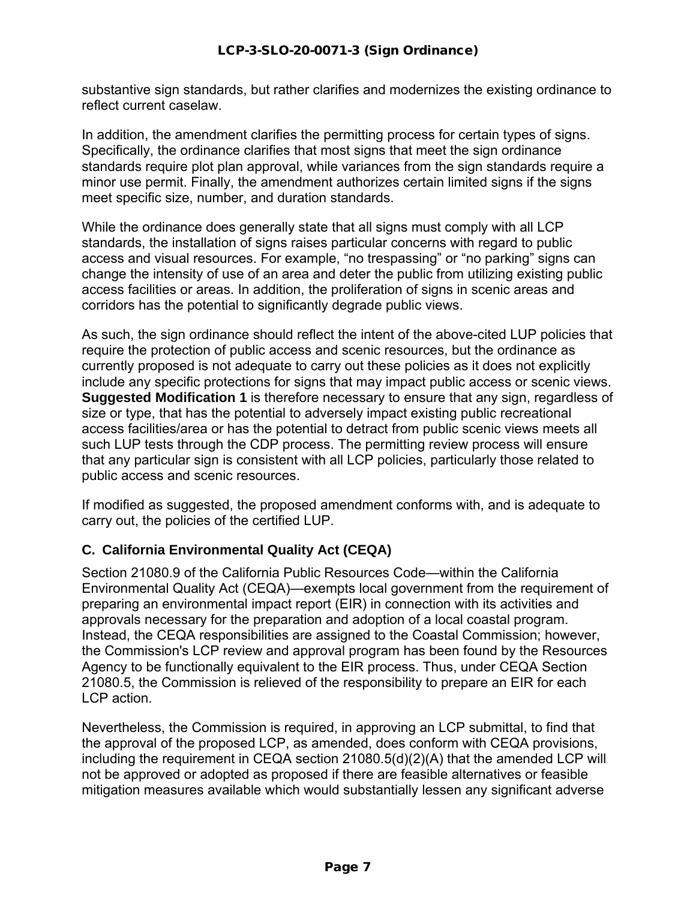substantive sign standards, but rather clarifies and modernizes the existing ordinance to reflect current caselaw.

In addition, the amendment clarifies the permitting process for certain types of signs. Specifically, the ordinance clarifies that most signs that meet the sign ordinance standards require plot plan approval, while variances from the sign standards require a minor use permit. Finally, the amendment authorizes certain limited signs if the signs meet specific size, number, and duration standards.

While the ordinance does generally state that all signs must comply with all LCP standards, the installation of signs raises particular concerns with regard to public access and visual resources. For example, "no trespassing" or "no parking" signs can change the intensity of use of an area and deter the public from utilizing existing public access facilities or areas. In addition, the proliferation of signs in scenic areas and corridors has the potential to significantly degrade public views.

As such, the sign ordinance should reflect the intent of the above-cited LUP policies that require the protection of public access and scenic resources, but the ordinance as currently proposed is not adequate to carry out these policies as it does not explicitly include any specific protections for signs that may impact public access or scenic views. **Suggested Modification 1** is therefore necessary to ensure that any sign, regardless of size or type, that has the potential to adversely impact existing public recreational access facilities/area or has the potential to detract from public scenic views meets all such LUP tests through the CDP process. The permitting review process will ensure that any particular sign is consistent with all LCP policies, particularly those related to public access and scenic resources.

<span id="page-6-0"></span>If modified as suggested, the proposed amendment conforms with, and is adequate to carry out, the policies of the certified LUP.

### **C. California Environmental Quality Act (CEQA)**

Section 21080.9 of the California Public Resources Code—within the California Environmental Quality Act (CEQA)—exempts local government from the requirement of preparing an environmental impact report (EIR) in connection with its activities and approvals necessary for the preparation and adoption of a local coastal program. Instead, the CEQA responsibilities are assigned to the Coastal Commission; however, the Commission's LCP review and approval program has been found by the Resources Agency to be functionally equivalent to the EIR process. Thus, under CEQA Section 21080.5, the Commission is relieved of the responsibility to prepare an EIR for each LCP action.

Nevertheless, the Commission is required, in approving an LCP submittal, to find that the approval of the proposed LCP, as amended, does conform with CEQA provisions, including the requirement in CEQA section 21080.5(d)(2)(A) that the amended LCP will not be approved or adopted as proposed if there are feasible alternatives or feasible mitigation measures available which would substantially lessen any significant adverse